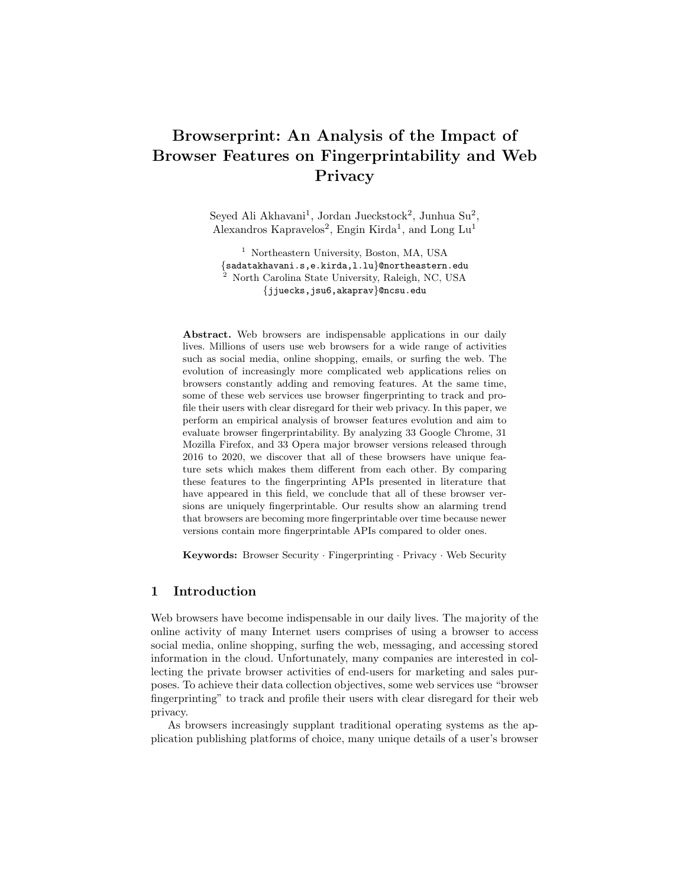# Browserprint: An Analysis of the Impact of Browser Features on Fingerprintability and Web Privacy

Seyed Ali Akhavani<sup>1</sup>, Jordan Jueckstock<sup>2</sup>, Junhua Su<sup>2</sup>, Alexandros Kapravelos<sup>2</sup>, Engin Kirda<sup>1</sup>, and Long Lu<sup>1</sup>

<sup>1</sup> Northeastern University, Boston, MA, USA {sadatakhavani.s,e.kirda,l.lu}@northeastern.edu <sup>2</sup> North Carolina State University, Raleigh, NC, USA {jjuecks,jsu6,akaprav}@ncsu.edu

Abstract. Web browsers are indispensable applications in our daily lives. Millions of users use web browsers for a wide range of activities such as social media, online shopping, emails, or surfing the web. The evolution of increasingly more complicated web applications relies on browsers constantly adding and removing features. At the same time, some of these web services use browser fingerprinting to track and profile their users with clear disregard for their web privacy. In this paper, we perform an empirical analysis of browser features evolution and aim to evaluate browser fingerprintability. By analyzing 33 Google Chrome, 31 Mozilla Firefox, and 33 Opera major browser versions released through 2016 to 2020, we discover that all of these browsers have unique feature sets which makes them different from each other. By comparing these features to the fingerprinting APIs presented in literature that have appeared in this field, we conclude that all of these browser versions are uniquely fingerprintable. Our results show an alarming trend that browsers are becoming more fingerprintable over time because newer versions contain more fingerprintable APIs compared to older ones.

Keywords: Browser Security · Fingerprinting · Privacy · Web Security

# 1 Introduction

Web browsers have become indispensable in our daily lives. The majority of the online activity of many Internet users comprises of using a browser to access social media, online shopping, surfing the web, messaging, and accessing stored information in the cloud. Unfortunately, many companies are interested in collecting the private browser activities of end-users for marketing and sales purposes. To achieve their data collection objectives, some web services use "browser fingerprinting" to track and profile their users with clear disregard for their web privacy.

As browsers increasingly supplant traditional operating systems as the application publishing platforms of choice, many unique details of a user's browser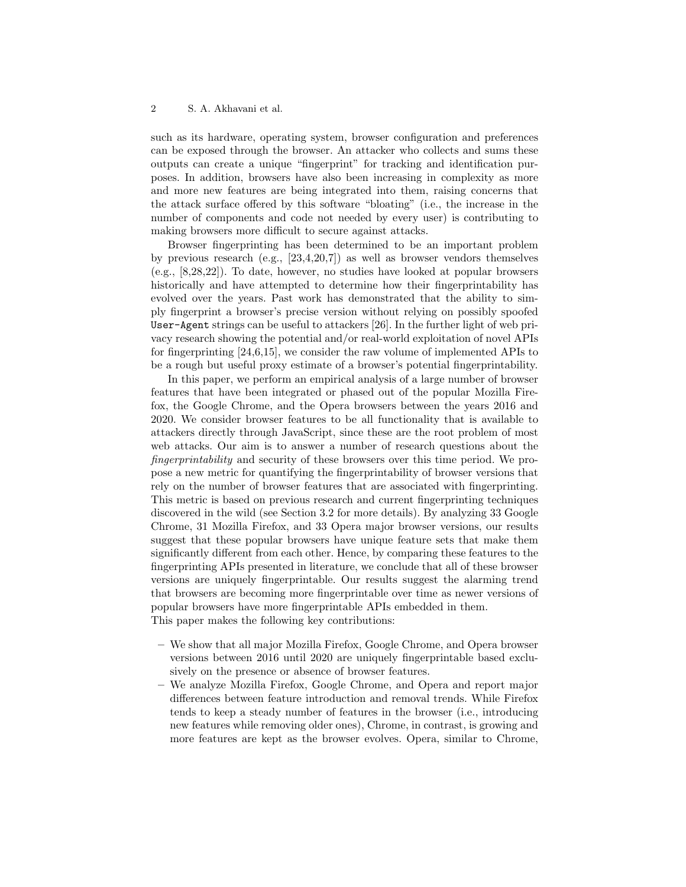such as its hardware, operating system, browser configuration and preferences can be exposed through the browser. An attacker who collects and sums these outputs can create a unique "fingerprint" for tracking and identification purposes. In addition, browsers have also been increasing in complexity as more and more new features are being integrated into them, raising concerns that the attack surface offered by this software "bloating" (i.e., the increase in the number of components and code not needed by every user) is contributing to making browsers more difficult to secure against attacks.

Browser fingerprinting has been determined to be an important problem by previous research (e.g., [\[23,](#page-15-0)[4](#page-14-0)[,20,](#page-15-1)[7\]](#page-14-1)) as well as browser vendors themselves (e.g., [\[8,](#page-14-2)[28,](#page-15-2)[22\]](#page-15-3)). To date, however, no studies have looked at popular browsers historically and have attempted to determine how their fingerprintability has evolved over the years. Past work has demonstrated that the ability to simply fingerprint a browser's precise version without relying on possibly spoofed User-Agent strings can be useful to attackers [\[26\]](#page-15-4). In the further light of web privacy research showing the potential and/or real-world exploitation of novel APIs for fingerprinting [\[24,](#page-15-5)[6](#page-14-3)[,15\]](#page-15-6), we consider the raw volume of implemented APIs to be a rough but useful proxy estimate of a browser's potential fingerprintability.

In this paper, we perform an empirical analysis of a large number of browser features that have been integrated or phased out of the popular Mozilla Firefox, the Google Chrome, and the Opera browsers between the years 2016 and 2020. We consider browser features to be all functionality that is available to attackers directly through JavaScript, since these are the root problem of most web attacks. Our aim is to answer a number of research questions about the fingerprintability and security of these browsers over this time period. We propose a new metric for quantifying the fingerprintability of browser versions that rely on the number of browser features that are associated with fingerprinting. This metric is based on previous research and current fingerprinting techniques discovered in the wild (see Section [3.2](#page-4-0) for more details). By analyzing 33 Google Chrome, 31 Mozilla Firefox, and 33 Opera major browser versions, our results suggest that these popular browsers have unique feature sets that make them significantly different from each other. Hence, by comparing these features to the fingerprinting APIs presented in literature, we conclude that all of these browser versions are uniquely fingerprintable. Our results suggest the alarming trend that browsers are becoming more fingerprintable over time as newer versions of popular browsers have more fingerprintable APIs embedded in them. This paper makes the following key contributions:

- We show that all major Mozilla Firefox, Google Chrome, and Opera browser versions between 2016 until 2020 are uniquely fingerprintable based exclusively on the presence or absence of browser features.
- We analyze Mozilla Firefox, Google Chrome, and Opera and report major differences between feature introduction and removal trends. While Firefox tends to keep a steady number of features in the browser (i.e., introducing new features while removing older ones), Chrome, in contrast, is growing and more features are kept as the browser evolves. Opera, similar to Chrome,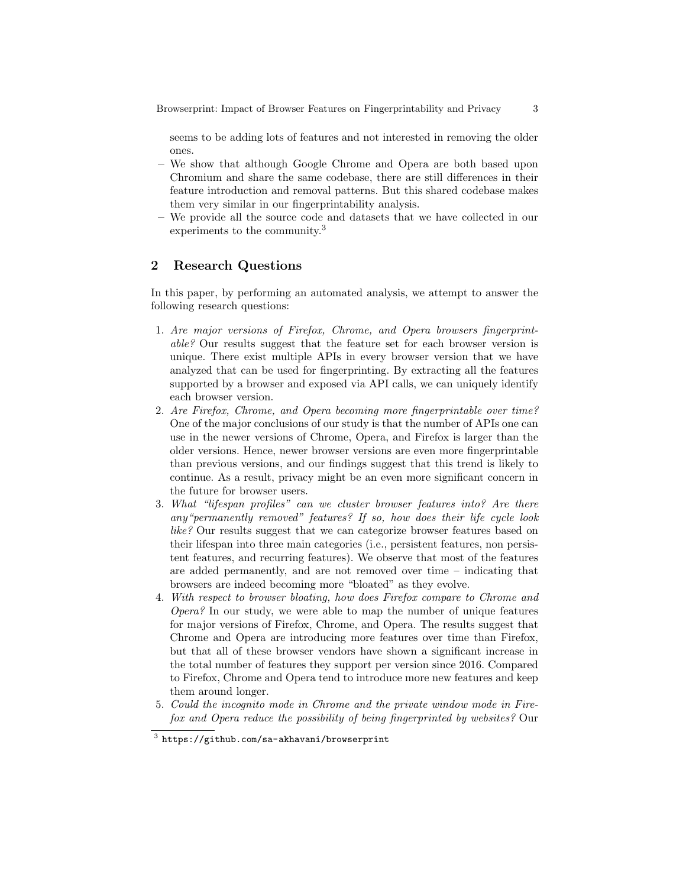seems to be adding lots of features and not interested in removing the older ones.

- We show that although Google Chrome and Opera are both based upon Chromium and share the same codebase, there are still differences in their feature introduction and removal patterns. But this shared codebase makes them very similar in our fingerprintability analysis.
- We provide all the source code and datasets that we have collected in our experiments to the community.[3](#page-2-0)

# 2 Research Questions

In this paper, by performing an automated analysis, we attempt to answer the following research questions:

- 1. Are major versions of Firefox, Chrome, and Opera browsers fingerprintable? Our results suggest that the feature set for each browser version is unique. There exist multiple APIs in every browser version that we have analyzed that can be used for fingerprinting. By extracting all the features supported by a browser and exposed via API calls, we can uniquely identify each browser version.
- 2. Are Firefox, Chrome, and Opera becoming more fingerprintable over time? One of the major conclusions of our study is that the number of APIs one can use in the newer versions of Chrome, Opera, and Firefox is larger than the older versions. Hence, newer browser versions are even more fingerprintable than previous versions, and our findings suggest that this trend is likely to continue. As a result, privacy might be an even more significant concern in the future for browser users.
- 3. What "lifespan profiles" can we cluster browser features into? Are there any"permanently removed" features? If so, how does their life cycle look like? Our results suggest that we can categorize browser features based on their lifespan into three main categories (i.e., persistent features, non persistent features, and recurring features). We observe that most of the features are added permanently, and are not removed over time – indicating that browsers are indeed becoming more "bloated" as they evolve.
- 4. With respect to browser bloating, how does Firefox compare to Chrome and Opera? In our study, we were able to map the number of unique features for major versions of Firefox, Chrome, and Opera. The results suggest that Chrome and Opera are introducing more features over time than Firefox, but that all of these browser vendors have shown a significant increase in the total number of features they support per version since 2016. Compared to Firefox, Chrome and Opera tend to introduce more new features and keep them around longer.
- 5. Could the incognito mode in Chrome and the private window mode in Firefox and Opera reduce the possibility of being fingerprinted by websites? Our

<span id="page-2-0"></span> $^3$  <https://github.com/sa-akhavani/browserprint>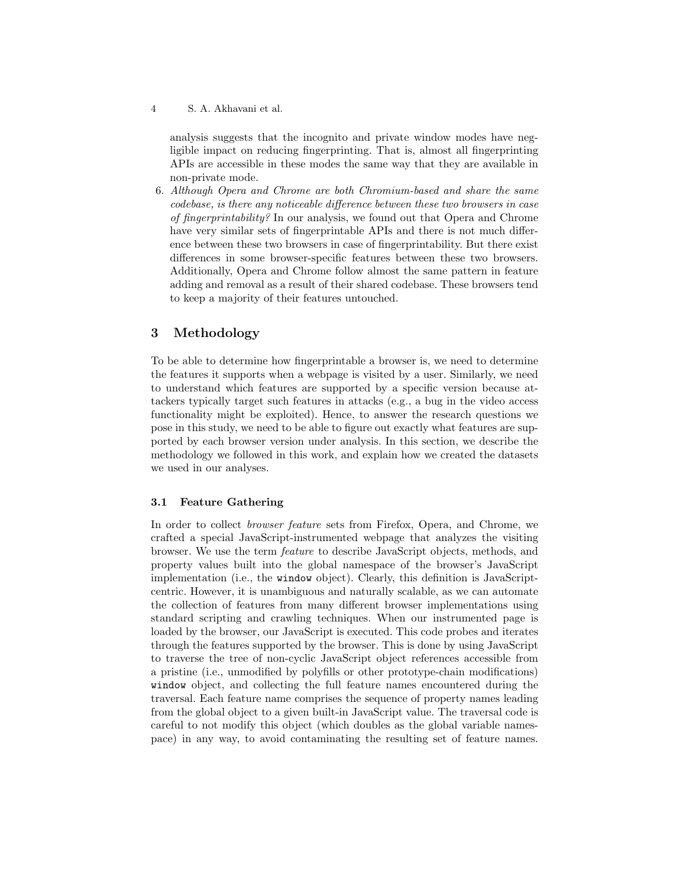analysis suggests that the incognito and private window modes have negligible impact on reducing fingerprinting. That is, almost all fingerprinting APIs are accessible in these modes the same way that they are available in non-private mode.

6. Although Opera and Chrome are both Chromium-based and share the same codebase, is there any noticeable difference between these two browsers in case of fingerprintability? In our analysis, we found out that Opera and Chrome have very similar sets of fingerprintable APIs and there is not much difference between these two browsers in case of fingerprintability. But there exist differences in some browser-specific features between these two browsers. Additionally, Opera and Chrome follow almost the same pattern in feature adding and removal as a result of their shared codebase. These browsers tend to keep a majority of their features untouched.

# <span id="page-3-0"></span>3 Methodology

To be able to determine how fingerprintable a browser is, we need to determine the features it supports when a webpage is visited by a user. Similarly, we need to understand which features are supported by a specific version because attackers typically target such features in attacks (e.g., a bug in the video access functionality might be exploited). Hence, to answer the research questions we pose in this study, we need to be able to figure out exactly what features are supported by each browser version under analysis. In this section, we describe the methodology we followed in this work, and explain how we created the datasets we used in our analyses.

## 3.1 Feature Gathering

In order to collect browser feature sets from Firefox, Opera, and Chrome, we crafted a special JavaScript-instrumented webpage that analyzes the visiting browser. We use the term feature to describe JavaScript objects, methods, and property values built into the global namespace of the browser's JavaScript implementation (i.e., the window object). Clearly, this definition is JavaScriptcentric. However, it is unambiguous and naturally scalable, as we can automate the collection of features from many different browser implementations using standard scripting and crawling techniques. When our instrumented page is loaded by the browser, our JavaScript is executed. This code probes and iterates through the features supported by the browser. This is done by using JavaScript to traverse the tree of non-cyclic JavaScript object references accessible from a pristine (i.e., unmodified by polyfills or other prototype-chain modifications) window object, and collecting the full feature names encountered during the traversal. Each feature name comprises the sequence of property names leading from the global object to a given built-in JavaScript value. The traversal code is careful to not modify this object (which doubles as the global variable namespace) in any way, to avoid contaminating the resulting set of feature names.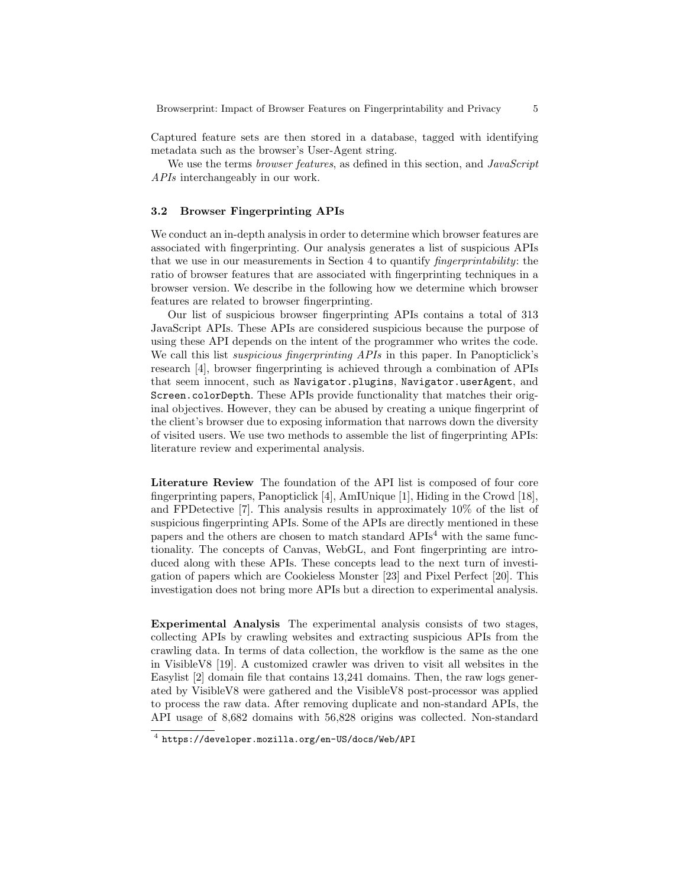Captured feature sets are then stored in a database, tagged with identifying metadata such as the browser's User-Agent string.

We use the terms *browser features*, as defined in this section, and *JavaScript* APIs interchangeably in our work.

#### <span id="page-4-0"></span>3.2 Browser Fingerprinting APIs

We conduct an in-depth analysis in order to determine which browser features are associated with fingerprinting. Our analysis generates a list of suspicious APIs that we use in our measurements in Section [4](#page-6-0) to quantify fingerprintability: the ratio of browser features that are associated with fingerprinting techniques in a browser version. We describe in the following how we determine which browser features are related to browser fingerprinting.

Our list of suspicious browser fingerprinting APIs contains a total of 313 JavaScript APIs. These APIs are considered suspicious because the purpose of using these API depends on the intent of the programmer who writes the code. We call this list *suspicious fingerprinting APIs* in this paper. In Panopticlick's research [\[4\]](#page-14-0), browser fingerprinting is achieved through a combination of APIs that seem innocent, such as Navigator.plugins, Navigator.userAgent, and Screen.colorDepth. These APIs provide functionality that matches their original objectives. However, they can be abused by creating a unique fingerprint of the client's browser due to exposing information that narrows down the diversity of visited users. We use two methods to assemble the list of fingerprinting APIs: literature review and experimental analysis.

Literature Review The foundation of the API list is composed of four core fingerprinting papers, Panopticlick [\[4\]](#page-14-0), AmIUnique [\[1\]](#page-14-4), Hiding in the Crowd [\[18\]](#page-15-7), and FPDetective [\[7\]](#page-14-1). This analysis results in approximately 10% of the list of suspicious fingerprinting APIs. Some of the APIs are directly mentioned in these papers and the others are chosen to match standard APIs<sup>[4](#page-4-1)</sup> with the same functionality. The concepts of Canvas, WebGL, and Font fingerprinting are introduced along with these APIs. These concepts lead to the next turn of investigation of papers which are Cookieless Monster [\[23\]](#page-15-0) and Pixel Perfect [\[20\]](#page-15-1). This investigation does not bring more APIs but a direction to experimental analysis.

Experimental Analysis The experimental analysis consists of two stages, collecting APIs by crawling websites and extracting suspicious APIs from the crawling data. In terms of data collection, the workflow is the same as the one in VisibleV8 [\[19\]](#page-15-8). A customized crawler was driven to visit all websites in the Easylist [\[2\]](#page-14-5) domain file that contains 13,241 domains. Then, the raw logs generated by VisibleV8 were gathered and the VisibleV8 post-processor was applied to process the raw data. After removing duplicate and non-standard APIs, the API usage of 8,682 domains with 56,828 origins was collected. Non-standard

<span id="page-4-1"></span><sup>4</sup> <https://developer.mozilla.org/en-US/docs/Web/API>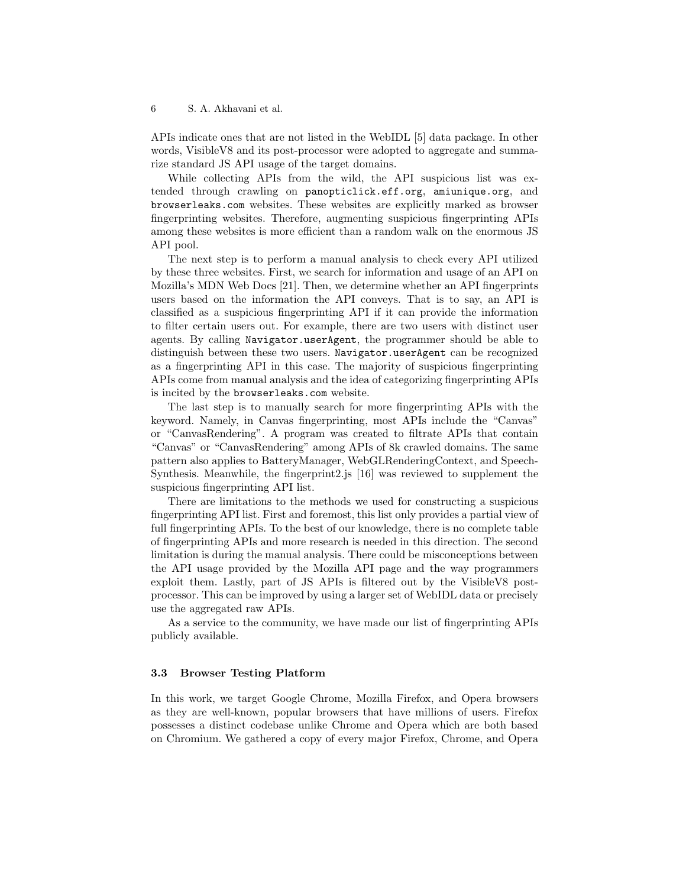APIs indicate ones that are not listed in the WebIDL [\[5\]](#page-14-6) data package. In other words, VisibleV8 and its post-processor were adopted to aggregate and summarize standard JS API usage of the target domains.

While collecting APIs from the wild, the API suspicious list was extended through crawling on <panopticlick.eff.org>, <amiunique.org>, and <browserleaks.com> websites. These websites are explicitly marked as browser fingerprinting websites. Therefore, augmenting suspicious fingerprinting APIs among these websites is more efficient than a random walk on the enormous JS API pool.

The next step is to perform a manual analysis to check every API utilized by these three websites. First, we search for information and usage of an API on Mozilla's MDN Web Docs [\[21\]](#page-15-9). Then, we determine whether an API fingerprints users based on the information the API conveys. That is to say, an API is classified as a suspicious fingerprinting API if it can provide the information to filter certain users out. For example, there are two users with distinct user agents. By calling Navigator.userAgent, the programmer should be able to distinguish between these two users. Navigator.userAgent can be recognized as a fingerprinting API in this case. The majority of suspicious fingerprinting APIs come from manual analysis and the idea of categorizing fingerprinting APIs is incited by the <browserleaks.com> website.

The last step is to manually search for more fingerprinting APIs with the keyword. Namely, in Canvas fingerprinting, most APIs include the "Canvas" or "CanvasRendering". A program was created to filtrate APIs that contain "Canvas" or "CanvasRendering" among APIs of 8k crawled domains. The same pattern also applies to BatteryManager, WebGLRenderingContext, and Speech-Synthesis. Meanwhile, the fingerprint2.js [\[16\]](#page-15-10) was reviewed to supplement the suspicious fingerprinting API list.

There are limitations to the methods we used for constructing a suspicious fingerprinting API list. First and foremost, this list only provides a partial view of full fingerprinting APIs. To the best of our knowledge, there is no complete table of fingerprinting APIs and more research is needed in this direction. The second limitation is during the manual analysis. There could be misconceptions between the API usage provided by the Mozilla API page and the way programmers exploit them. Lastly, part of JS APIs is filtered out by the VisibleV8 postprocessor. This can be improved by using a larger set of WebIDL data or precisely use the aggregated raw APIs.

As a service to the community, we have made our list of fingerprinting APIs publicly available.

#### 3.3 Browser Testing Platform

In this work, we target Google Chrome, Mozilla Firefox, and Opera browsers as they are well-known, popular browsers that have millions of users. Firefox possesses a distinct codebase unlike Chrome and Opera which are both based on Chromium. We gathered a copy of every major Firefox, Chrome, and Opera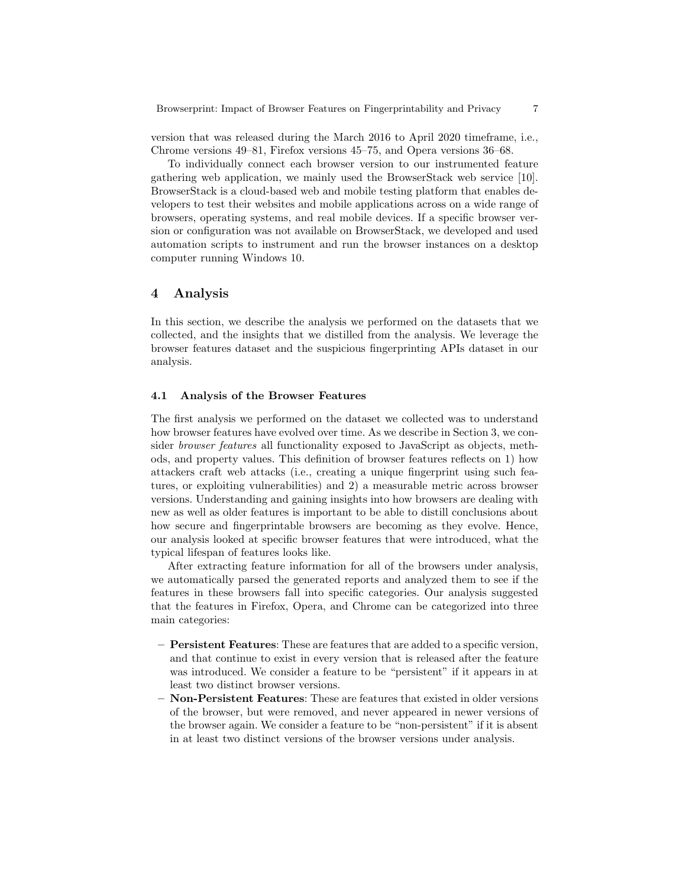version that was released during the March 2016 to April 2020 timeframe, i.e., Chrome versions 49–81, Firefox versions 45–75, and Opera versions 36–68.

To individually connect each browser version to our instrumented feature gathering web application, we mainly used the BrowserStack web service [\[10\]](#page-14-7). BrowserStack is a cloud-based web and mobile testing platform that enables developers to test their websites and mobile applications across on a wide range of browsers, operating systems, and real mobile devices. If a specific browser version or configuration was not available on BrowserStack, we developed and used automation scripts to instrument and run the browser instances on a desktop computer running Windows 10.

## <span id="page-6-0"></span>4 Analysis

In this section, we describe the analysis we performed on the datasets that we collected, and the insights that we distilled from the analysis. We leverage the browser features dataset and the suspicious fingerprinting APIs dataset in our analysis.

#### 4.1 Analysis of the Browser Features

The first analysis we performed on the dataset we collected was to understand how browser features have evolved over time. As we describe in Section [3,](#page-3-0) we consider browser features all functionality exposed to JavaScript as objects, methods, and property values. This definition of browser features reflects on 1) how attackers craft web attacks (i.e., creating a unique fingerprint using such features, or exploiting vulnerabilities) and 2) a measurable metric across browser versions. Understanding and gaining insights into how browsers are dealing with new as well as older features is important to be able to distill conclusions about how secure and fingerprintable browsers are becoming as they evolve. Hence, our analysis looked at specific browser features that were introduced, what the typical lifespan of features looks like.

After extracting feature information for all of the browsers under analysis, we automatically parsed the generated reports and analyzed them to see if the features in these browsers fall into specific categories. Our analysis suggested that the features in Firefox, Opera, and Chrome can be categorized into three main categories:

- Persistent Features: These are features that are added to a specific version, and that continue to exist in every version that is released after the feature was introduced. We consider a feature to be "persistent" if it appears in at least two distinct browser versions.
- Non-Persistent Features: These are features that existed in older versions of the browser, but were removed, and never appeared in newer versions of the browser again. We consider a feature to be "non-persistent" if it is absent in at least two distinct versions of the browser versions under analysis.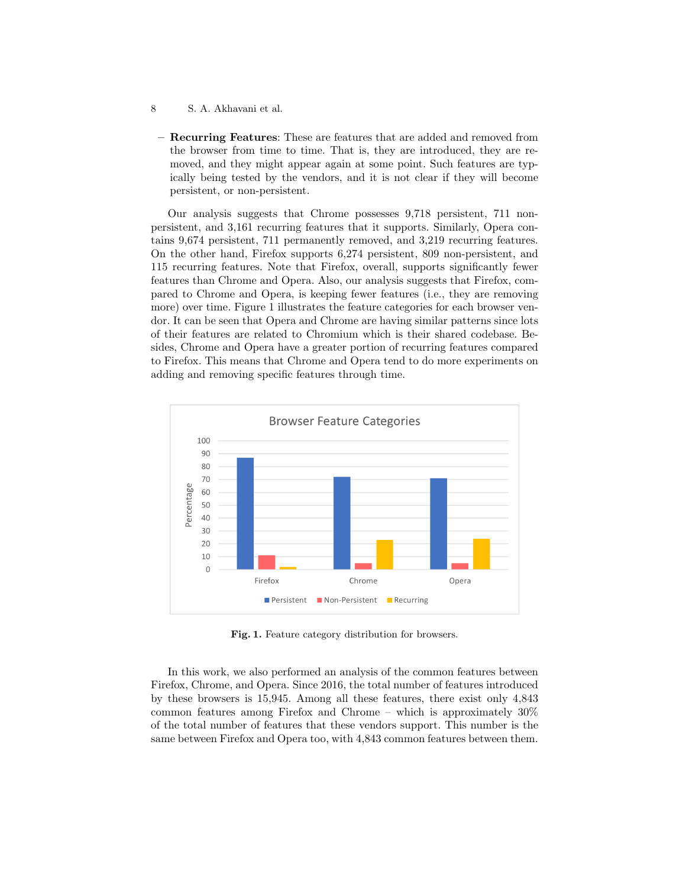- 8 S. A. Akhavani et al.
- Recurring Features: These are features that are added and removed from the browser from time to time. That is, they are introduced, they are removed, and they might appear again at some point. Such features are typically being tested by the vendors, and it is not clear if they will become persistent, or non-persistent.

Our analysis suggests that Chrome possesses 9,718 persistent, 711 nonpersistent, and 3,161 recurring features that it supports. Similarly, Opera contains 9,674 persistent, 711 permanently removed, and 3,219 recurring features. On the other hand, Firefox supports 6,274 persistent, 809 non-persistent, and 115 recurring features. Note that Firefox, overall, supports significantly fewer features than Chrome and Opera. Also, our analysis suggests that Firefox, compared to Chrome and Opera, is keeping fewer features (i.e., they are removing more) over time. Figure [1](#page-7-0) illustrates the feature categories for each browser vendor. It can be seen that Opera and Chrome are having similar patterns since lots of their features are related to Chromium which is their shared codebase. Besides, Chrome and Opera have a greater portion of recurring features compared to Firefox. This means that Chrome and Opera tend to do more experiments on adding and removing specific features through time.



<span id="page-7-0"></span>Fig. 1. Feature category distribution for browsers.

In this work, we also performed an analysis of the common features between Firefox, Chrome, and Opera. Since 2016, the total number of features introduced by these browsers is 15,945. Among all these features, there exist only 4,843 common features among Firefox and Chrome – which is approximately 30% of the total number of features that these vendors support. This number is the same between Firefox and Opera too, with 4,843 common features between them.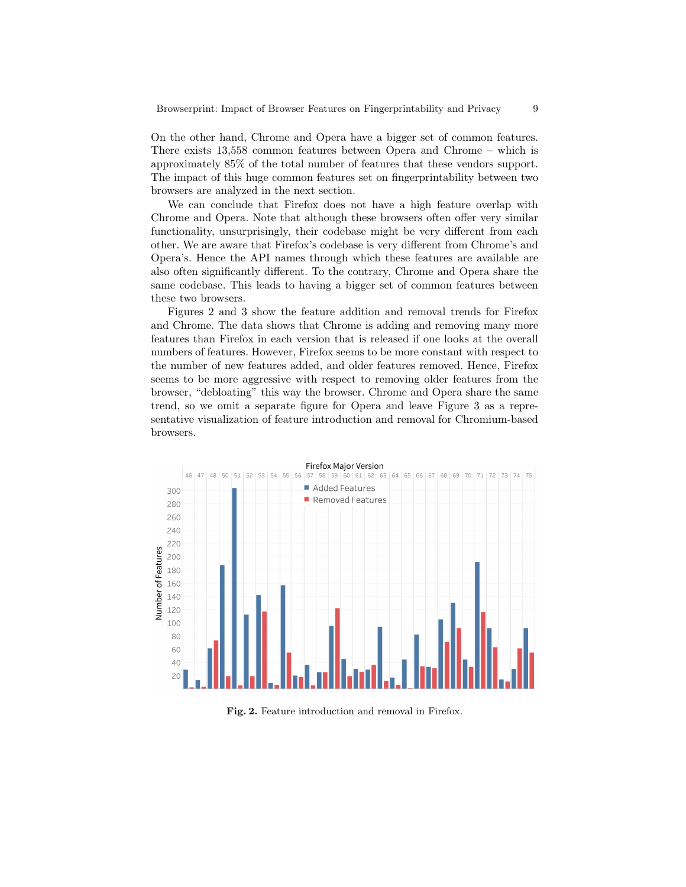On the other hand, Chrome and Opera have a bigger set of common features. There exists 13,558 common features between Opera and Chrome – which is approximately 85% of the total number of features that these vendors support. The impact of this huge common features set on fingerprintability between two browsers are analyzed in the next section.

We can conclude that Firefox does not have a high feature overlap with Chrome and Opera. Note that although these browsers often offer very similar functionality, unsurprisingly, their codebase might be very different from each other. We are aware that Firefox's codebase is very different from Chrome's and Opera's. Hence the API names through which these features are available are also often significantly different. To the contrary, Chrome and Opera share the same codebase. This leads to having a bigger set of common features between these two browsers.

Figures [2](#page-8-0) and [3](#page-9-0) show the feature addition and removal trends for Firefox and Chrome. The data shows that Chrome is adding and removing many more features than Firefox in each version that is released if one looks at the overall numbers of features. However, Firefox seems to be more constant with respect to the number of new features added, and older features removed. Hence, Firefox seems to be more aggressive with respect to removing older features from the browser, "debloating" this way the browser. Chrome and Opera share the same trend, so we omit a separate figure for Opera and leave Figure [3](#page-9-0) as a representative visualization of feature introduction and removal for Chromium-based browsers.



<span id="page-8-0"></span>Fig. 2. Feature introduction and removal in Firefox.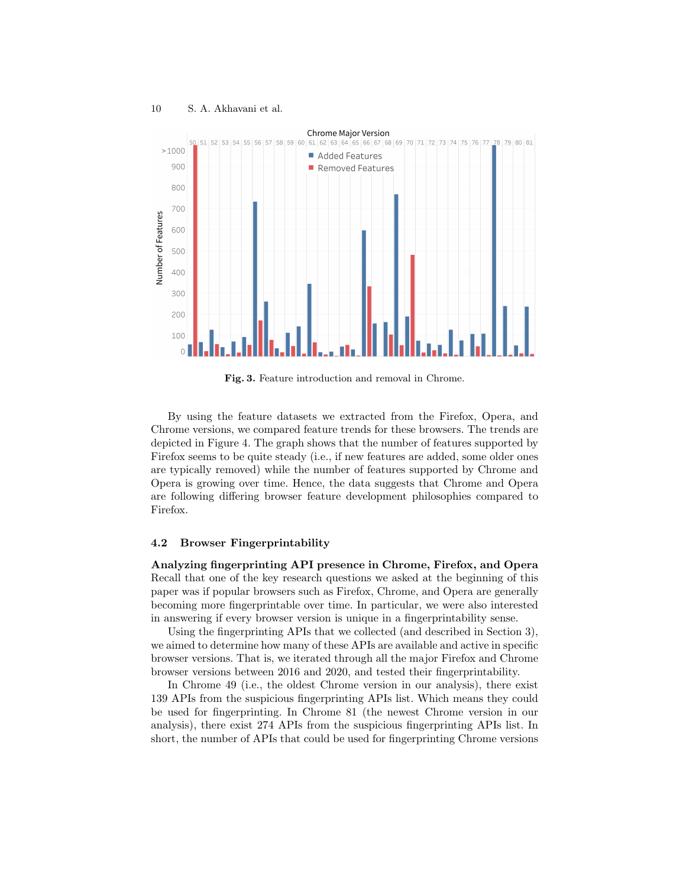

<span id="page-9-0"></span>Fig. 3. Feature introduction and removal in Chrome.

By using the feature datasets we extracted from the Firefox, Opera, and Chrome versions, we compared feature trends for these browsers. The trends are depicted in Figure [4.](#page-10-0) The graph shows that the number of features supported by Firefox seems to be quite steady (i.e., if new features are added, some older ones are typically removed) while the number of features supported by Chrome and Opera is growing over time. Hence, the data suggests that Chrome and Opera are following differing browser feature development philosophies compared to Firefox.

#### 4.2 Browser Fingerprintability

Analyzing fingerprinting API presence in Chrome, Firefox, and Opera Recall that one of the key research questions we asked at the beginning of this paper was if popular browsers such as Firefox, Chrome, and Opera are generally becoming more fingerprintable over time. In particular, we were also interested in answering if every browser version is unique in a fingerprintability sense.

Using the fingerprinting APIs that we collected (and described in Section [3\)](#page-3-0), we aimed to determine how many of these APIs are available and active in specific browser versions. That is, we iterated through all the major Firefox and Chrome browser versions between 2016 and 2020, and tested their fingerprintability.

In Chrome 49 (i.e., the oldest Chrome version in our analysis), there exist 139 APIs from the suspicious fingerprinting APIs list. Which means they could be used for fingerprinting. In Chrome 81 (the newest Chrome version in our analysis), there exist 274 APIs from the suspicious fingerprinting APIs list. In short, the number of APIs that could be used for fingerprinting Chrome versions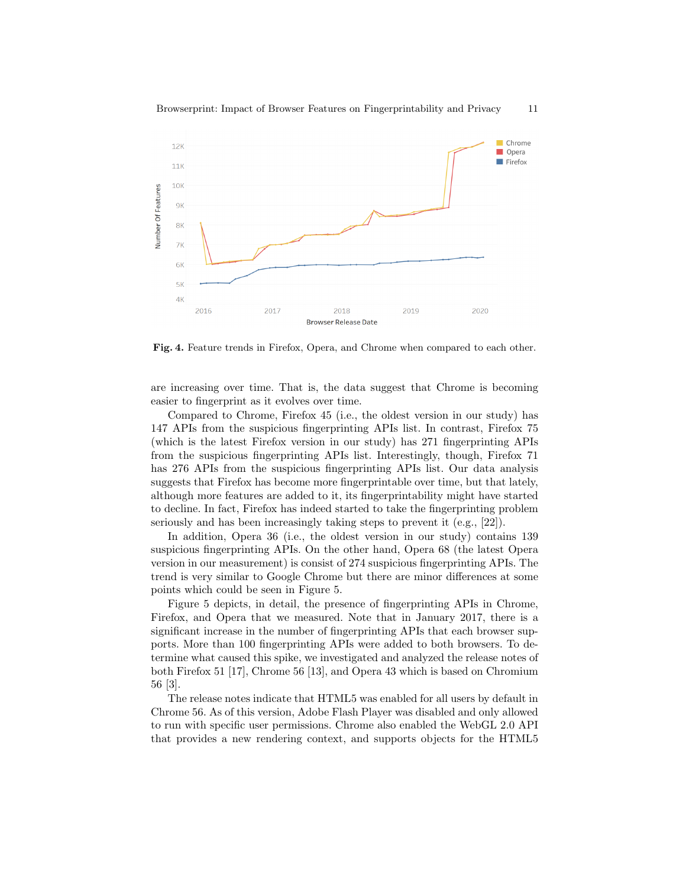

<span id="page-10-0"></span>Fig. 4. Feature trends in Firefox, Opera, and Chrome when compared to each other.

are increasing over time. That is, the data suggest that Chrome is becoming easier to fingerprint as it evolves over time.

Compared to Chrome, Firefox 45 (i.e., the oldest version in our study) has 147 APIs from the suspicious fingerprinting APIs list. In contrast, Firefox 75 (which is the latest Firefox version in our study) has 271 fingerprinting APIs from the suspicious fingerprinting APIs list. Interestingly, though, Firefox 71 has 276 APIs from the suspicious fingerprinting APIs list. Our data analysis suggests that Firefox has become more fingerprintable over time, but that lately, although more features are added to it, its fingerprintability might have started to decline. In fact, Firefox has indeed started to take the fingerprinting problem seriously and has been increasingly taking steps to prevent it (e.g., [\[22\]](#page-15-3)).

In addition, Opera 36 (i.e., the oldest version in our study) contains 139 suspicious fingerprinting APIs. On the other hand, Opera 68 (the latest Opera version in our measurement) is consist of 274 suspicious fingerprinting APIs. The trend is very similar to Google Chrome but there are minor differences at some points which could be seen in Figure [5.](#page-11-0)

Figure [5](#page-11-0) depicts, in detail, the presence of fingerprinting APIs in Chrome, Firefox, and Opera that we measured. Note that in January 2017, there is a significant increase in the number of fingerprinting APIs that each browser supports. More than 100 fingerprinting APIs were added to both browsers. To determine what caused this spike, we investigated and analyzed the release notes of both Firefox 51 [\[17\]](#page-15-11), Chrome 56 [\[13\]](#page-15-12), and Opera 43 which is based on Chromium 56 [\[3\]](#page-14-8).

The release notes indicate that HTML5 was enabled for all users by default in Chrome 56. As of this version, Adobe Flash Player was disabled and only allowed to run with specific user permissions. Chrome also enabled the WebGL 2.0 API that provides a new rendering context, and supports objects for the HTML5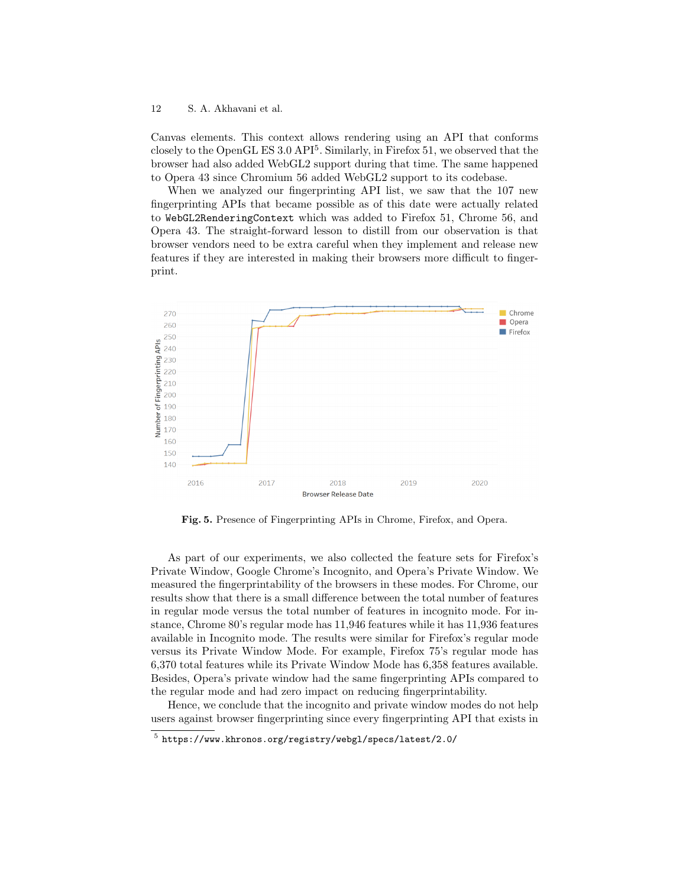Canvas elements. This context allows rendering using an API that conforms closely to the OpenGL ES 3.0 API<sup>[5](#page-11-1)</sup>. Similarly, in Firefox 51, we observed that the browser had also added WebGL2 support during that time. The same happened to Opera 43 since Chromium 56 added WebGL2 support to its codebase.

When we analyzed our fingerprinting API list, we saw that the 107 new fingerprinting APIs that became possible as of this date were actually related to WebGL2RenderingContext which was added to Firefox 51, Chrome 56, and Opera 43. The straight-forward lesson to distill from our observation is that browser vendors need to be extra careful when they implement and release new features if they are interested in making their browsers more difficult to fingerprint.



<span id="page-11-0"></span>Fig. 5. Presence of Fingerprinting APIs in Chrome, Firefox, and Opera.

As part of our experiments, we also collected the feature sets for Firefox's Private Window, Google Chrome's Incognito, and Opera's Private Window. We measured the fingerprintability of the browsers in these modes. For Chrome, our results show that there is a small difference between the total number of features in regular mode versus the total number of features in incognito mode. For instance, Chrome 80's regular mode has 11,946 features while it has 11,936 features available in Incognito mode. The results were similar for Firefox's regular mode versus its Private Window Mode. For example, Firefox 75's regular mode has 6,370 total features while its Private Window Mode has 6,358 features available. Besides, Opera's private window had the same fingerprinting APIs compared to the regular mode and had zero impact on reducing fingerprintability.

Hence, we conclude that the incognito and private window modes do not help users against browser fingerprinting since every fingerprinting API that exists in

<span id="page-11-1"></span> $^5$ <https://www.khronos.org/registry/webgl/specs/latest/2.0/>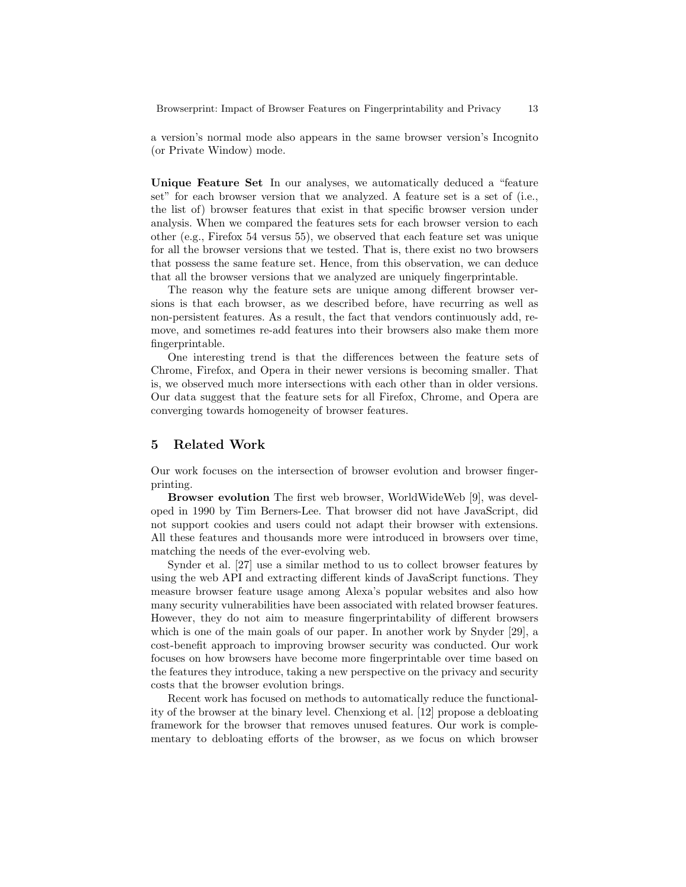Browserprint: Impact of Browser Features on Fingerprintability and Privacy 13

a version's normal mode also appears in the same browser version's Incognito (or Private Window) mode.

Unique Feature Set In our analyses, we automatically deduced a "feature set" for each browser version that we analyzed. A feature set is a set of (i.e., the list of) browser features that exist in that specific browser version under analysis. When we compared the features sets for each browser version to each other (e.g., Firefox 54 versus 55), we observed that each feature set was unique for all the browser versions that we tested. That is, there exist no two browsers that possess the same feature set. Hence, from this observation, we can deduce that all the browser versions that we analyzed are uniquely fingerprintable.

The reason why the feature sets are unique among different browser versions is that each browser, as we described before, have recurring as well as non-persistent features. As a result, the fact that vendors continuously add, remove, and sometimes re-add features into their browsers also make them more fingerprintable.

One interesting trend is that the differences between the feature sets of Chrome, Firefox, and Opera in their newer versions is becoming smaller. That is, we observed much more intersections with each other than in older versions. Our data suggest that the feature sets for all Firefox, Chrome, and Opera are converging towards homogeneity of browser features.

## 5 Related Work

Our work focuses on the intersection of browser evolution and browser fingerprinting.

Browser evolution The first web browser, WorldWideWeb [\[9\]](#page-14-9), was developed in 1990 by Tim Berners-Lee. That browser did not have JavaScript, did not support cookies and users could not adapt their browser with extensions. All these features and thousands more were introduced in browsers over time, matching the needs of the ever-evolving web.

Synder et al. [\[27\]](#page-15-13) use a similar method to us to collect browser features by using the web API and extracting different kinds of JavaScript functions. They measure browser feature usage among Alexa's popular websites and also how many security vulnerabilities have been associated with related browser features. However, they do not aim to measure fingerprintability of different browsers which is one of the main goals of our paper. In another work by Snyder [\[29\]](#page-15-14), a cost-benefit approach to improving browser security was conducted. Our work focuses on how browsers have become more fingerprintable over time based on the features they introduce, taking a new perspective on the privacy and security costs that the browser evolution brings.

Recent work has focused on methods to automatically reduce the functionality of the browser at the binary level. Chenxiong et al. [\[12\]](#page-15-15) propose a debloating framework for the browser that removes unused features. Our work is complementary to debloating efforts of the browser, as we focus on which browser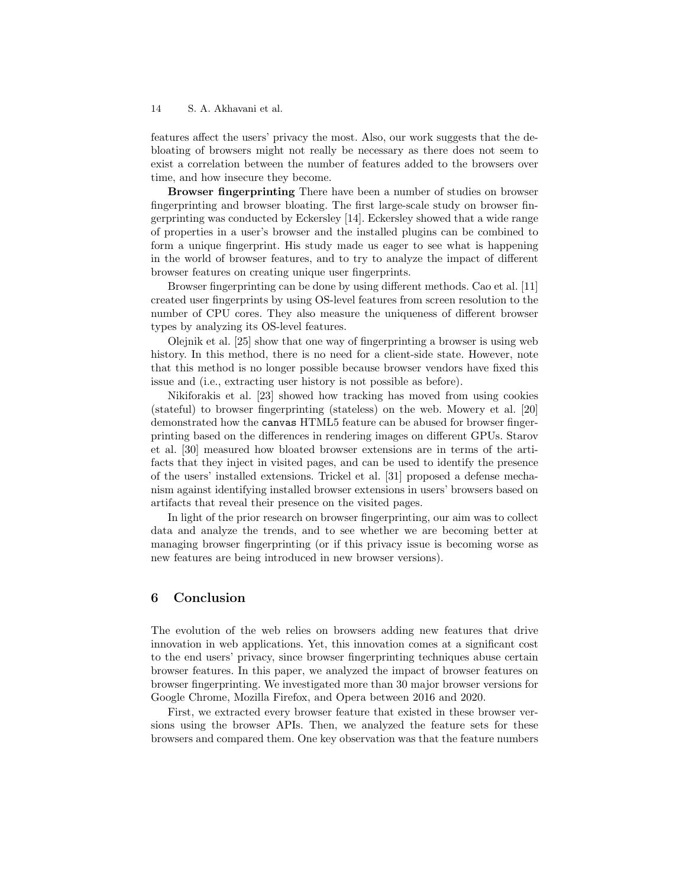features affect the users' privacy the most. Also, our work suggests that the debloating of browsers might not really be necessary as there does not seem to exist a correlation between the number of features added to the browsers over time, and how insecure they become.

Browser fingerprinting There have been a number of studies on browser fingerprinting and browser bloating. The first large-scale study on browser fingerprinting was conducted by Eckersley [\[14\]](#page-15-16). Eckersley showed that a wide range of properties in a user's browser and the installed plugins can be combined to form a unique fingerprint. His study made us eager to see what is happening in the world of browser features, and to try to analyze the impact of different browser features on creating unique user fingerprints.

Browser fingerprinting can be done by using different methods. Cao et al. [\[11\]](#page-14-10) created user fingerprints by using OS-level features from screen resolution to the number of CPU cores. They also measure the uniqueness of different browser types by analyzing its OS-level features.

Olejnik et al. [\[25\]](#page-15-17) show that one way of fingerprinting a browser is using web history. In this method, there is no need for a client-side state. However, note that this method is no longer possible because browser vendors have fixed this issue and (i.e., extracting user history is not possible as before).

Nikiforakis et al. [\[23\]](#page-15-0) showed how tracking has moved from using cookies (stateful) to browser fingerprinting (stateless) on the web. Mowery et al. [\[20\]](#page-15-1) demonstrated how the canvas HTML5 feature can be abused for browser fingerprinting based on the differences in rendering images on different GPUs. Starov et al. [\[30\]](#page-15-18) measured how bloated browser extensions are in terms of the artifacts that they inject in visited pages, and can be used to identify the presence of the users' installed extensions. Trickel et al. [\[31\]](#page-16-0) proposed a defense mechanism against identifying installed browser extensions in users' browsers based on artifacts that reveal their presence on the visited pages.

In light of the prior research on browser fingerprinting, our aim was to collect data and analyze the trends, and to see whether we are becoming better at managing browser fingerprinting (or if this privacy issue is becoming worse as new features are being introduced in new browser versions).

# 6 Conclusion

The evolution of the web relies on browsers adding new features that drive innovation in web applications. Yet, this innovation comes at a significant cost to the end users' privacy, since browser fingerprinting techniques abuse certain browser features. In this paper, we analyzed the impact of browser features on browser fingerprinting. We investigated more than 30 major browser versions for Google Chrome, Mozilla Firefox, and Opera between 2016 and 2020.

First, we extracted every browser feature that existed in these browser versions using the browser APIs. Then, we analyzed the feature sets for these browsers and compared them. One key observation was that the feature numbers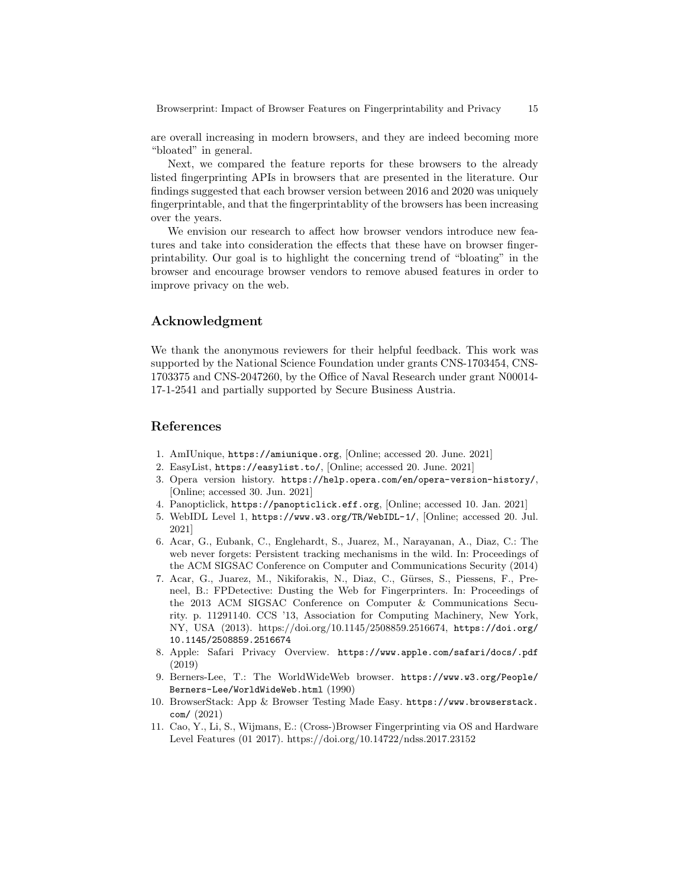Browserprint: Impact of Browser Features on Fingerprintability and Privacy 15

are overall increasing in modern browsers, and they are indeed becoming more "bloated" in general.

Next, we compared the feature reports for these browsers to the already listed fingerprinting APIs in browsers that are presented in the literature. Our findings suggested that each browser version between 2016 and 2020 was uniquely fingerprintable, and that the fingerprintablity of the browsers has been increasing over the years.

We envision our research to affect how browser vendors introduce new features and take into consideration the effects that these have on browser fingerprintability. Our goal is to highlight the concerning trend of "bloating" in the browser and encourage browser vendors to remove abused features in order to improve privacy on the web.

## Acknowledgment

We thank the anonymous reviewers for their helpful feedback. This work was supported by the National Science Foundation under grants CNS-1703454, CNS-1703375 and CNS-2047260, by the Office of Naval Research under grant N00014- 17-1-2541 and partially supported by Secure Business Austria.

# References

- <span id="page-14-4"></span>1. AmIUnique, <https://amiunique.org>, [Online; accessed 20. June. 2021]
- <span id="page-14-5"></span>2. EasyList, <https://easylist.to/>, [Online; accessed 20. June. 2021]
- <span id="page-14-8"></span>3. Opera version history. <https://help.opera.com/en/opera-version-history/>, [Online; accessed 30. Jun. 2021]
- <span id="page-14-0"></span>4. Panopticlick, <https://panopticlick.eff.org>, [Online; accessed 10. Jan. 2021]
- <span id="page-14-6"></span>5. WebIDL Level 1, <https://www.w3.org/TR/WebIDL-1/>, [Online; accessed 20. Jul. 2021]
- <span id="page-14-3"></span>6. Acar, G., Eubank, C., Englehardt, S., Juarez, M., Narayanan, A., Diaz, C.: The web never forgets: Persistent tracking mechanisms in the wild. In: Proceedings of the ACM SIGSAC Conference on Computer and Communications Security (2014)
- <span id="page-14-1"></span>7. Acar, G., Juarez, M., Nikiforakis, N., Diaz, C., Gürses, S., Piessens, F., Preneel, B.: FPDetective: Dusting the Web for Fingerprinters. In: Proceedings of the 2013 ACM SIGSAC Conference on Computer & Communications Security. p. 11291140. CCS '13, Association for Computing Machinery, New York, NY, USA (2013). [https://doi.org/10.1145/2508859.2516674,](https://doi.org/10.1145/2508859.2516674) [https://doi.org/](https://doi.org/10.1145/2508859.2516674) [10.1145/2508859.2516674](https://doi.org/10.1145/2508859.2516674)
- <span id="page-14-2"></span>8. Apple: Safari Privacy Overview. <https://www.apple.com/safari/docs/.pdf> (2019)
- <span id="page-14-9"></span>9. Berners-Lee, T.: The WorldWideWeb browser. [https://www.w3.org/People/](https://www.w3.org/People/Berners-Lee/WorldWideWeb.html) [Berners-Lee/WorldWideWeb.html](https://www.w3.org/People/Berners-Lee/WorldWideWeb.html) (1990)
- <span id="page-14-7"></span>10. BrowserStack: App & Browser Testing Made Easy. [https://www.browserstack.](https://www.browserstack.com/) [com/](https://www.browserstack.com/) (2021)
- <span id="page-14-10"></span>11. Cao, Y., Li, S., Wijmans, E.: (Cross-)Browser Fingerprinting via OS and Hardware Level Features (01 2017).<https://doi.org/10.14722/ndss.2017.23152>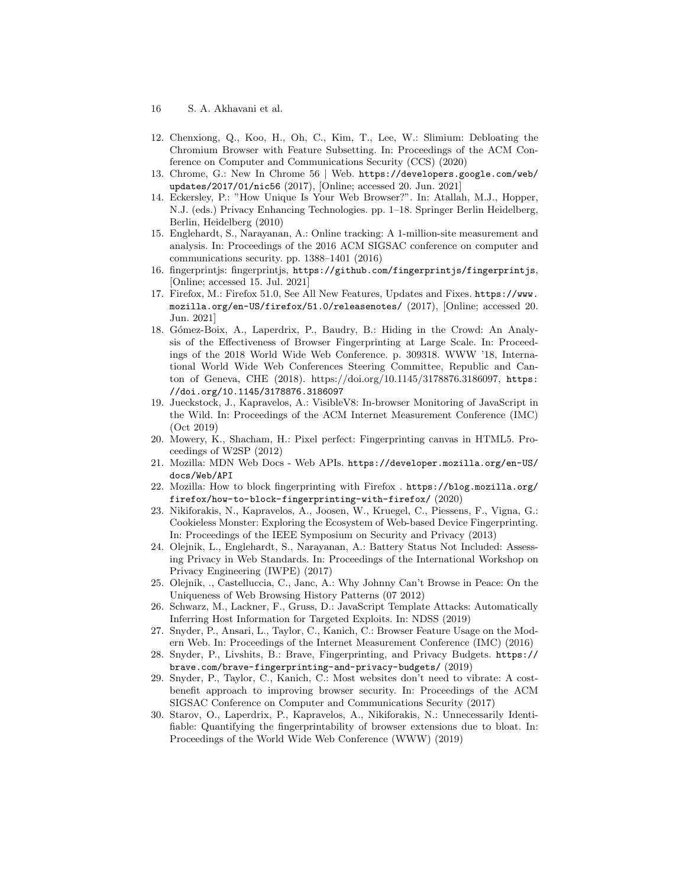- 16 S. A. Akhavani et al.
- <span id="page-15-15"></span>12. Chenxiong, Q., Koo, H., Oh, C., Kim, T., Lee, W.: Slimium: Debloating the Chromium Browser with Feature Subsetting. In: Proceedings of the ACM Conference on Computer and Communications Security (CCS) (2020)
- <span id="page-15-12"></span>13. Chrome, G.: New In Chrome 56 | Web. [https://developers.google.com/web/](https://developers.google.com/web/updates/2017/01/nic56) [updates/2017/01/nic56](https://developers.google.com/web/updates/2017/01/nic56) (2017), [Online; accessed 20. Jun. 2021]
- <span id="page-15-16"></span>14. Eckersley, P.: "How Unique Is Your Web Browser?". In: Atallah, M.J., Hopper, N.J. (eds.) Privacy Enhancing Technologies. pp. 1–18. Springer Berlin Heidelberg, Berlin, Heidelberg (2010)
- <span id="page-15-6"></span>15. Englehardt, S., Narayanan, A.: Online tracking: A 1-million-site measurement and analysis. In: Proceedings of the 2016 ACM SIGSAC conference on computer and communications security. pp. 1388–1401 (2016)
- <span id="page-15-10"></span>16. fingerprintjs: fingerprintjs, <https://github.com/fingerprintjs/fingerprintjs>, [Online; accessed 15. Jul. 2021]
- <span id="page-15-11"></span>17. Firefox, M.: Firefox 51.0, See All New Features, Updates and Fixes. [https://www.](https://www.mozilla.org/en-US/firefox/51.0/releasenotes/) [mozilla.org/en-US/firefox/51.0/releasenotes/](https://www.mozilla.org/en-US/firefox/51.0/releasenotes/) (2017), [Online; accessed 20. Jun. 2021]
- <span id="page-15-7"></span>18. Gómez-Boix, A., Laperdrix, P., Baudry, B.: Hiding in the Crowd: An Analysis of the Effectiveness of Browser Fingerprinting at Large Scale. In: Proceedings of the 2018 World Wide Web Conference. p. 309318. WWW '18, International World Wide Web Conferences Steering Committee, Republic and Canton of Geneva, CHE (2018). [https://doi.org/10.1145/3178876.3186097,](https://doi.org/10.1145/3178876.3186097) [https:](https://doi.org/10.1145/3178876.3186097) [//doi.org/10.1145/3178876.3186097](https://doi.org/10.1145/3178876.3186097)
- <span id="page-15-8"></span>19. Jueckstock, J., Kapravelos, A.: VisibleV8: In-browser Monitoring of JavaScript in the Wild. In: Proceedings of the ACM Internet Measurement Conference (IMC) (Oct 2019)
- <span id="page-15-1"></span>20. Mowery, K., Shacham, H.: Pixel perfect: Fingerprinting canvas in HTML5. Proceedings of W2SP (2012)
- <span id="page-15-9"></span>21. Mozilla: MDN Web Docs - Web APIs. [https://developer.mozilla.org/en-US/](https://developer.mozilla.org/en-US/docs/Web/API) [docs/Web/API](https://developer.mozilla.org/en-US/docs/Web/API)
- <span id="page-15-3"></span>22. Mozilla: How to block fingerprinting with Firefox . [https://blog.mozilla.org/](https://blog.mozilla.org/firefox/how-to-block-fingerprinting-with-firefox/) [firefox/how-to-block-fingerprinting-with-firefox/](https://blog.mozilla.org/firefox/how-to-block-fingerprinting-with-firefox/) (2020)
- <span id="page-15-0"></span>23. Nikiforakis, N., Kapravelos, A., Joosen, W., Kruegel, C., Piessens, F., Vigna, G.: Cookieless Monster: Exploring the Ecosystem of Web-based Device Fingerprinting. In: Proceedings of the IEEE Symposium on Security and Privacy (2013)
- <span id="page-15-5"></span>24. Olejnik, L., Englehardt, S., Narayanan, A.: Battery Status Not Included: Assessing Privacy in Web Standards. In: Proceedings of the International Workshop on Privacy Engineering (IWPE) (2017)
- <span id="page-15-17"></span>25. Olejnik, ., Castelluccia, C., Janc, A.: Why Johnny Can't Browse in Peace: On the Uniqueness of Web Browsing History Patterns (07 2012)
- <span id="page-15-4"></span>26. Schwarz, M., Lackner, F., Gruss, D.: JavaScript Template Attacks: Automatically Inferring Host Information for Targeted Exploits. In: NDSS (2019)
- <span id="page-15-13"></span>27. Snyder, P., Ansari, L., Taylor, C., Kanich, C.: Browser Feature Usage on the Modern Web. In: Proceedings of the Internet Measurement Conference (IMC) (2016)
- <span id="page-15-2"></span>28. Snyder, P., Livshits, B.: Brave, Fingerprinting, and Privacy Budgets. [https://](https://brave.com/brave-fingerprinting-and-privacy-budgets/) [brave.com/brave-fingerprinting-and-privacy-budgets/](https://brave.com/brave-fingerprinting-and-privacy-budgets/) (2019)
- <span id="page-15-14"></span>29. Snyder, P., Taylor, C., Kanich, C.: Most websites don't need to vibrate: A costbenefit approach to improving browser security. In: Proceedings of the ACM SIGSAC Conference on Computer and Communications Security (2017)
- <span id="page-15-18"></span>30. Starov, O., Laperdrix, P., Kapravelos, A., Nikiforakis, N.: Unnecessarily Identifiable: Quantifying the fingerprintability of browser extensions due to bloat. In: Proceedings of the World Wide Web Conference (WWW) (2019)